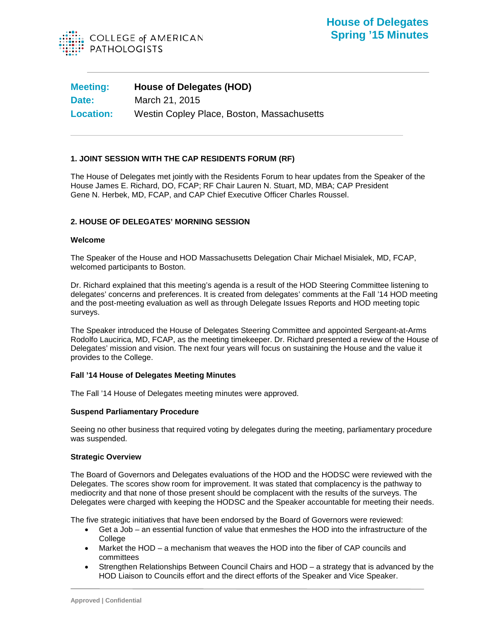

| <b>Meeting:</b>  | <b>House of Delegates (HOD)</b>            |
|------------------|--------------------------------------------|
| Date:            | March 21, 2015                             |
| <b>Location:</b> | Westin Copley Place, Boston, Massachusetts |

# **1. JOINT SESSION WITH THE CAP RESIDENTS FORUM (RF)**

The House of Delegates met jointly with the Residents Forum to hear updates from the Speaker of the House James E. Richard, DO, FCAP; RF Chair Lauren N. Stuart, MD, MBA; CAP President Gene N. Herbek, MD, FCAP, and CAP Chief Executive Officer Charles Roussel.

## **2. HOUSE OF DELEGATES' MORNING SESSION**

### **Welcome**

The Speaker of the House and HOD Massachusetts Delegation Chair Michael Misialek, MD, FCAP, welcomed participants to Boston.

Dr. Richard explained that this meeting's agenda is a result of the HOD Steering Committee listening to delegates' concerns and preferences. It is created from delegates' comments at the Fall '14 HOD meeting and the post-meeting evaluation as well as through Delegate Issues Reports and HOD meeting topic surveys.

The Speaker introduced the House of Delegates Steering Committee and appointed Sergeant-at-Arms Rodolfo Laucirica, MD, FCAP, as the meeting timekeeper. Dr. Richard presented a review of the House of Delegates' mission and vision. The next four years will focus on sustaining the House and the value it provides to the College.

## **Fall '14 House of Delegates Meeting Minutes**

The Fall '14 House of Delegates meeting minutes were approved.

### **Suspend Parliamentary Procedure**

Seeing no other business that required voting by delegates during the meeting, parliamentary procedure was suspended.

### **Strategic Overview**

The Board of Governors and Delegates evaluations of the HOD and the HODSC were reviewed with the Delegates. The scores show room for improvement. It was stated that complacency is the pathway to mediocrity and that none of those present should be complacent with the results of the surveys. The Delegates were charged with keeping the HODSC and the Speaker accountable for meeting their needs.

The five strategic initiatives that have been endorsed by the Board of Governors were reviewed:

- Get a Job an essential function of value that enmeshes the HOD into the infrastructure of the **College**
- Market the HOD a mechanism that weaves the HOD into the fiber of CAP councils and committees
- Strengthen Relationships Between Council Chairs and HOD a strategy that is advanced by the HOD Liaison to Councils effort and the direct efforts of the Speaker and Vice Speaker.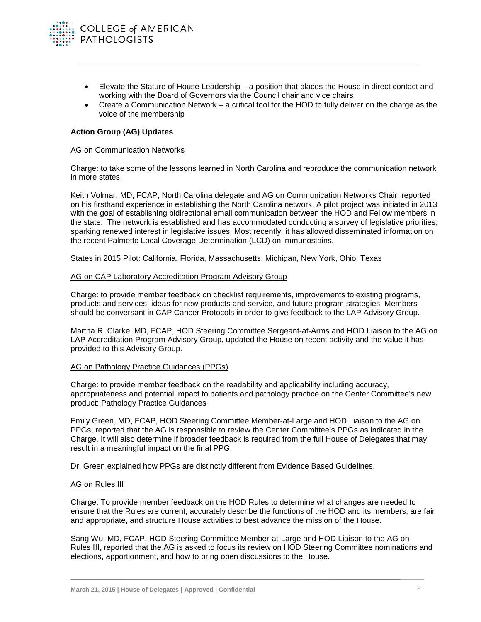

- Elevate the Stature of House Leadership a position that places the House in direct contact and working with the Board of Governors via the Council chair and vice chairs
- Create a Communication Network a critical tool for the HOD to fully deliver on the charge as the voice of the membership

## **Action Group (AG) Updates**

### AG on Communication Networks

Charge: to take some of the lessons learned in North Carolina and reproduce the communication network in more states.

Keith Volmar, MD, FCAP, North Carolina delegate and AG on Communication Networks Chair, reported on his firsthand experience in establishing the North Carolina network. A pilot project was initiated in 2013 with the goal of establishing bidirectional email communication between the HOD and Fellow members in the state. The network is established and has accommodated conducting a survey of legislative priorities, sparking renewed interest in legislative issues. Most recently, it has allowed disseminated information on the recent Palmetto Local Coverage Determination (LCD) on immunostains.

States in 2015 Pilot: California, Florida, Massachusetts, Michigan, New York, Ohio, Texas

# AG on CAP Laboratory Accreditation Program Advisory Group

Charge: to provide member feedback on checklist requirements, improvements to existing programs, products and services, ideas for new products and service, and future program strategies. Members should be conversant in CAP Cancer Protocols in order to give feedback to the LAP Advisory Group.

Martha R. Clarke, MD, FCAP, HOD Steering Committee Sergeant-at-Arms and HOD Liaison to the AG on LAP Accreditation Program Advisory Group, updated the House on recent activity and the value it has provided to this Advisory Group.

#### AG on Pathology Practice Guidances (PPGs)

Charge: to provide member feedback on the readability and applicability including accuracy, appropriateness and potential impact to patients and pathology practice on the Center Committee's new product: Pathology Practice Guidances

Emily Green, MD, FCAP, HOD Steering Committee Member-at-Large and HOD Liaison to the AG on PPGs, reported that the AG is responsible to review the Center Committee's PPGs as indicated in the Charge. It will also determine if broader feedback is required from the full House of Delegates that may result in a meaningful impact on the final PPG.

Dr. Green explained how PPGs are distinctly different from Evidence Based Guidelines.

### AG on Rules III

Charge: To provide member feedback on the HOD Rules to determine what changes are needed to ensure that the Rules are current, accurately describe the functions of the HOD and its members, are fair and appropriate, and structure House activities to best advance the mission of the House.

Sang Wu, MD, FCAP, HOD Steering Committee Member-at-Large and HOD Liaison to the AG on Rules III, reported that the AG is asked to focus its review on HOD Steering Committee nominations and elections, apportionment, and how to bring open discussions to the House.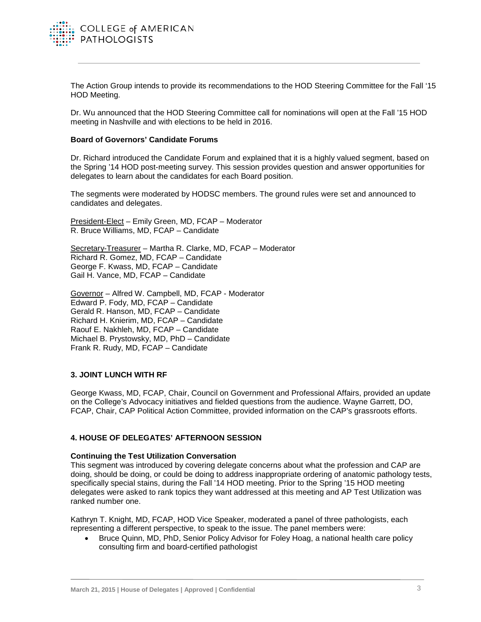

The Action Group intends to provide its recommendations to the HOD Steering Committee for the Fall '15 HOD Meeting.

Dr. Wu announced that the HOD Steering Committee call for nominations will open at the Fall '15 HOD meeting in Nashville and with elections to be held in 2016.

### **Board of Governors' Candidate Forums**

Dr. Richard introduced the Candidate Forum and explained that it is a highly valued segment, based on the Spring '14 HOD post-meeting survey. This session provides question and answer opportunities for delegates to learn about the candidates for each Board position.

The segments were moderated by HODSC members. The ground rules were set and announced to candidates and delegates.

President-Elect – Emily Green, MD, FCAP – Moderator R. Bruce Williams, MD, FCAP – Candidate

Secretary-Treasurer – Martha R. Clarke, MD, FCAP – Moderator Richard R. Gomez, MD, FCAP – Candidate George F. Kwass, MD, FCAP – Candidate Gail H. Vance, MD, FCAP – Candidate

Governor – Alfred W. Campbell, MD, FCAP - Moderator Edward P. Fody, MD, FCAP – Candidate Gerald R. Hanson, MD, FCAP – Candidate Richard H. Knierim, MD, FCAP – Candidate Raouf E. Nakhleh, MD, FCAP – Candidate Michael B. Prystowsky, MD, PhD – Candidate Frank R. Rudy, MD, FCAP – Candidate

## **3. JOINT LUNCH WITH RF**

George Kwass, MD, FCAP, Chair, Council on Government and Professional Affairs, provided an update on the College's Advocacy initiatives and fielded questions from the audience. Wayne Garrett, DO, FCAP, Chair, CAP Political Action Committee, provided information on the CAP's grassroots efforts.

## **4. HOUSE OF DELEGATES' AFTERNOON SESSION**

### **Continuing the Test Utilization Conversation**

This segment was introduced by covering delegate concerns about what the profession and CAP are doing, should be doing, or could be doing to address inappropriate ordering of anatomic pathology tests, specifically special stains, during the Fall '14 HOD meeting. Prior to the Spring '15 HOD meeting delegates were asked to rank topics they want addressed at this meeting and AP Test Utilization was ranked number one.

Kathryn T. Knight, MD, FCAP, HOD Vice Speaker, moderated a panel of three pathologists, each representing a different perspective, to speak to the issue. The panel members were:

• Bruce Quinn, MD, PhD, Senior Policy Advisor for Foley Hoag, a national health care policy consulting firm and board-certified pathologist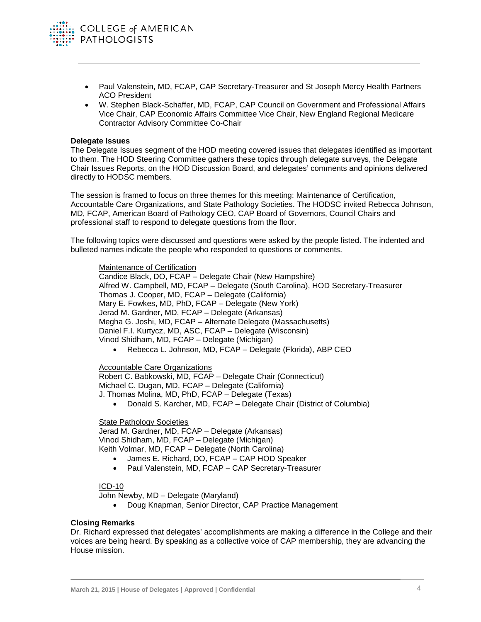

- Paul Valenstein, MD, FCAP, CAP Secretary-Treasurer and St Joseph Mercy Health Partners ACO President
- W. Stephen Black-Schaffer, MD, FCAP, CAP Council on Government and Professional Affairs Vice Chair, CAP Economic Affairs Committee Vice Chair, New England Regional Medicare Contractor Advisory Committee Co-Chair

### **Delegate Issues**

The Delegate Issues segment of the HOD meeting covered issues that delegates identified as important to them. The HOD Steering Committee gathers these topics through delegate surveys, the Delegate Chair Issues Reports, on the HOD Discussion Board, and delegates' comments and opinions delivered directly to HODSC members.

The session is framed to focus on three themes for this meeting: Maintenance of Certification, Accountable Care Organizations, and State Pathology Societies. The HODSC invited Rebecca Johnson, MD, FCAP, American Board of Pathology CEO, CAP Board of Governors, Council Chairs and professional staff to respond to delegate questions from the floor.

The following topics were discussed and questions were asked by the people listed. The indented and bulleted names indicate the people who responded to questions or comments.

#### Maintenance of Certification

Candice Black, DO, FCAP – Delegate Chair (New Hampshire) Alfred W. Campbell, MD, FCAP – Delegate (South Carolina), HOD Secretary-Treasurer Thomas J. Cooper, MD, FCAP – Delegate (California) Mary E. Fowkes, MD, PhD, FCAP – Delegate (New York) Jerad M. Gardner, MD, FCAP – Delegate (Arkansas) Megha G. Joshi, MD, FCAP – Alternate Delegate (Massachusetts) Daniel F.I. Kurtycz, MD, ASC, FCAP – Delegate (Wisconsin) Vinod Shidham, MD, FCAP – Delegate (Michigan)

• Rebecca L. Johnson, MD, FCAP – Delegate (Florida), ABP CEO

## Accountable Care Organizations

Robert C. Babkowski, MD, FCAP – Delegate Chair (Connecticut) Michael C. Dugan, MD, FCAP – Delegate (California) J. Thomas Molina, MD, PhD, FCAP – Delegate (Texas)

• Donald S. Karcher, MD, FCAP – Delegate Chair (District of Columbia)

### State Pathology Societies

Jerad M. Gardner, MD, FCAP – Delegate (Arkansas) Vinod Shidham, MD, FCAP – Delegate (Michigan) Keith Volmar, MD, FCAP – Delegate (North Carolina)

- James E. Richard, DO, FCAP CAP HOD Speaker
- Paul Valenstein, MD, FCAP CAP Secretary-Treasurer

### ICD-10

John Newby, MD – Delegate (Maryland)

• Doug Knapman, Senior Director, CAP Practice Management

### **Closing Remarks**

Dr. Richard expressed that delegates' accomplishments are making a difference in the College and their voices are being heard. By speaking as a collective voice of CAP membership, they are advancing the House mission.